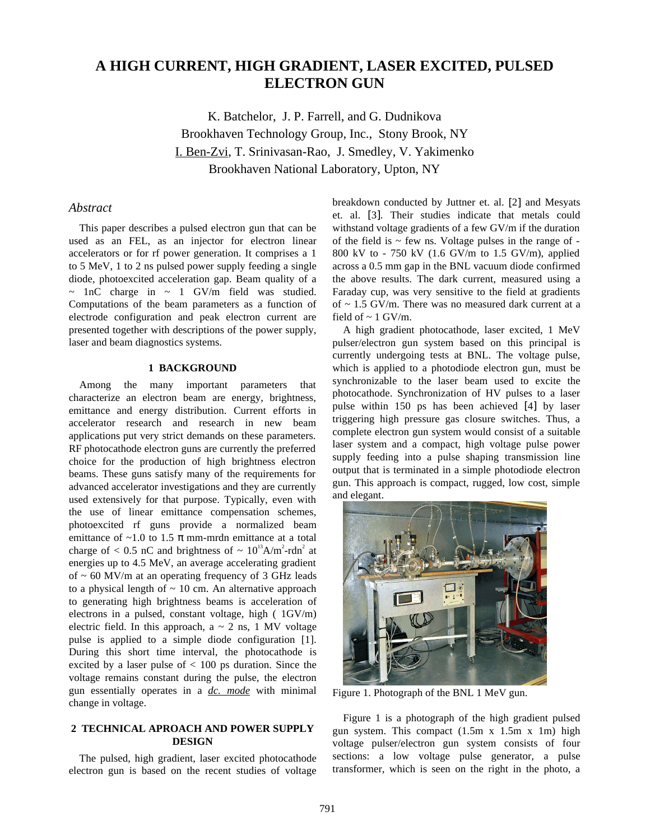# **A HIGH CURRENT, HIGH GRADIENT, LASER EXCITED, PULSED ELECTRON GUN**

K. Batchelor, J. P. Farrell, and G. Dudnikova Brookhaven Technology Group, Inc., Stony Brook, NY I. Ben-Zvi, T. Srinivasan-Rao, J. Smedley, V. Yakimenko Brookhaven National Laboratory, Upton, NY

# *Abstract*

This paper describes a pulsed electron gun that can be used as an FEL, as an injector for electron linear accelerators or for rf power generation. It comprises a 1 to 5 MeV, 1 to 2 ns pulsed power supply feeding a single diode, photoexcited acceleration gap. Beam quality of a  $\sim$  1nC charge in  $\sim$  1 GV/m field was studied. Computations of the beam parameters as a function of electrode configuration and peak electron current are presented together with descriptions of the power supply, laser and beam diagnostics systems.

## **1 BACKGROUND**

Among the many important parameters that characterize an electron beam are energy, brightness, emittance and energy distribution. Current efforts in accelerator research and research in new beam applications put very strict demands on these parameters. RF photocathode electron guns are currently the preferred choice for the production of high brightness electron beams. These guns satisfy many of the requirements for advanced accelerator investigations and they are currently used extensively for that purpose. Typically, even with the use of linear emittance compensation schemes, photoexcited rf guns provide a normalized beam emittance of  $\sim$ 1.0 to 1.5  $\pi$  mm-mrdn emittance at a total charge of  $< 0.5$  nC and brightness of  $\sim 10^{13}$ A/m<sup>2</sup>-rdn<sup>2</sup> at energies up to 4.5 MeV, an average accelerating gradient of  $\sim$  60 MV/m at an operating frequency of 3 GHz leads to a physical length of  $\sim$  10 cm. An alternative approach to generating high brightness beams is acceleration of electrons in a pulsed, constant voltage, high ( 1GV/m) electric field. In this approach,  $a \sim 2$  ns, 1 MV voltage pulse is applied to a simple diode configuration [1]. During this short time interval, the photocathode is excited by a laser pulse of  $< 100$  ps duration. Since the voltage remains constant during the pulse, the electron gun essentially operates in a *dc. mode* with minimal change in voltage.

# **2 TECHNICAL APROACH AND POWER SUPPLY DESIGN**

The pulsed, high gradient, laser excited photocathode electron gun is based on the recent studies of voltage

breakdown conducted by Juttner et. al. [2] and Mesyats et. al. [3]. Their studies indicate that metals could withstand voltage gradients of a few GV/m if the duration of the field is  $\sim$  few ns. Voltage pulses in the range of -800 kV to - 750 kV (1.6 GV/m to 1.5 GV/m), applied across a 0.5 mm gap in the BNL vacuum diode confirmed the above results. The dark current, measured using a Faraday cup, was very sensitive to the field at gradients of  $\sim$  1.5 GV/m. There was no measured dark current at a field of  $\sim$  1 GV/m.

A high gradient photocathode, laser excited, 1 MeV pulser/electron gun system based on this principal is currently undergoing tests at BNL. The voltage pulse, which is applied to a photodiode electron gun, must be synchronizable to the laser beam used to excite the photocathode. Synchronization of HV pulses to a laser pulse within 150 ps has been achieved [4] by laser triggering high pressure gas closure switches. Thus, a complete electron gun system would consist of a suitable laser system and a compact, high voltage pulse power supply feeding into a pulse shaping transmission line output that is terminated in a simple photodiode electron gun. This approach is compact, rugged, low cost, simple and elegant.



Figure 1. Photograph of the BNL 1 MeV gun.

Figure 1 is a photograph of the high gradient pulsed gun system. This compact (1.5m x 1.5m x 1m) high voltage pulser/electron gun system consists of four sections: a low voltage pulse generator, a pulse transformer, which is seen on the right in the photo, a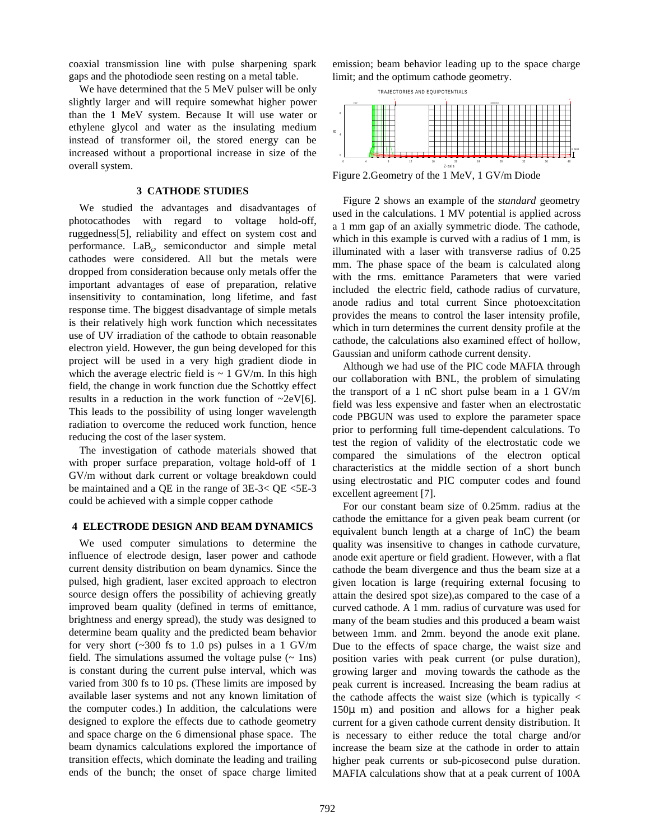coaxial transmission line with pulse sharpening spark gaps and the photodiode seen resting on a metal table.

We have determined that the 5 MeV pulser will be only slightly larger and will require somewhat higher power than the 1 MeV system. Because It will use water or ethylene glycol and water as the insulating medium instead of transformer oil, the stored energy can be increased without a proportional increase in size of the overall system.

### **3 CATHODE STUDIES**

We studied the advantages and disadvantages of photocathodes with regard to voltage hold-off, ruggedness[5], reliability and effect on system cost and performance.  $LaB_6$ , semiconductor and simple metal cathodes were considered. All but the metals were dropped from consideration because only metals offer the important advantages of ease of preparation, relative insensitivity to contamination, long lifetime, and fast response time. The biggest disadvantage of simple metals is their relatively high work function which necessitates use of UV irradiation of the cathode to obtain reasonable electron yield. However, the gun being developed for this project will be used in a very high gradient diode in which the average electric field is  $\sim 1$  GV/m. In this high field, the change in work function due the Schottky effect results in a reduction in the work function of  $\sim$ 2eV[6]. This leads to the possibility of using longer wavelength radiation to overcome the reduced work function, hence reducing the cost of the laser system.

 The investigation of cathode materials showed that with proper surface preparation, voltage hold-off of 1 GV/m without dark current or voltage breakdown could be maintained and a QE in the range of 3E-3< QE <5E-3 could be achieved with a simple copper cathode

#### **4 ELECTRODE DESIGN AND BEAM DYNAMICS**

We used computer simulations to determine the influence of electrode design, laser power and cathode current density distribution on beam dynamics. Since the pulsed, high gradient, laser excited approach to electron source design offers the possibility of achieving greatly improved beam quality (defined in terms of emittance, brightness and energy spread), the study was designed to determine beam quality and the predicted beam behavior for very short  $(\sim 300 \text{ fs to } 1.0 \text{ ps})$  pulses in a 1 GV/m field. The simulations assumed the voltage pulse  $(- \ln s)$ is constant during the current pulse interval, which was varied from 300 fs to 10 ps. (These limits are imposed by available laser systems and not any known limitation of the computer codes.) In addition, the calculations were designed to explore the effects due to cathode geometry and space charge on the 6 dimensional phase space. The beam dynamics calculations explored the importance of transition effects, which dominate the leading and trailing ends of the bunch; the onset of space charge limited

emission; beam behavior leading up to the space charge limit; and the optimum cathode geometry.



Figure 2.Geometry of the 1 MeV, 1 GV/m Diode

Figure 2 shows an example of the *standard* geometry used in the calculations. 1 MV potential is applied across a 1 mm gap of an axially symmetric diode. The cathode, which in this example is curved with a radius of 1 mm, is illuminated with a laser with transverse radius of 0.25 mm. The phase space of the beam is calculated along with the rms. emittance Parameters that were varied included the electric field, cathode radius of curvature, anode radius and total current Since photoexcitation provides the means to control the laser intensity profile, which in turn determines the current density profile at the cathode, the calculations also examined effect of hollow, Gaussian and uniform cathode current density.

Although we had use of the PIC code MAFIA through our collaboration with BNL, the problem of simulating the transport of a 1 nC short pulse beam in a 1 GV/m field was less expensive and faster when an electrostatic code PBGUN was used to explore the parameter space prior to performing full time-dependent calculations. To test the region of validity of the electrostatic code we compared the simulations of the electron optical characteristics at the middle section of a short bunch using electrostatic and PIC computer codes and found excellent agreement [7].

For our constant beam size of 0.25mm. radius at the cathode the emittance for a given peak beam current (or equivalent bunch length at a charge of 1nC) the beam quality was insensitive to changes in cathode curvature, anode exit aperture or field gradient. However, with a flat cathode the beam divergence and thus the beam size at a given location is large (requiring external focusing to attain the desired spot size),as compared to the case of a curved cathode. A 1 mm. radius of curvature was used for many of the beam studies and this produced a beam waist between 1mm. and 2mm. beyond the anode exit plane. Due to the effects of space charge, the waist size and position varies with peak current (or pulse duration), growing larger and moving towards the cathode as the peak current is increased. Increasing the beam radius at the cathode affects the waist size (which is typically  $\lt$  $150\mu$  m) and position and allows for a higher peak current for a given cathode current density distribution. It is necessary to either reduce the total charge and/or increase the beam size at the cathode in order to attain higher peak currents or sub-picosecond pulse duration. MAFIA calculations show that at a peak current of 100A